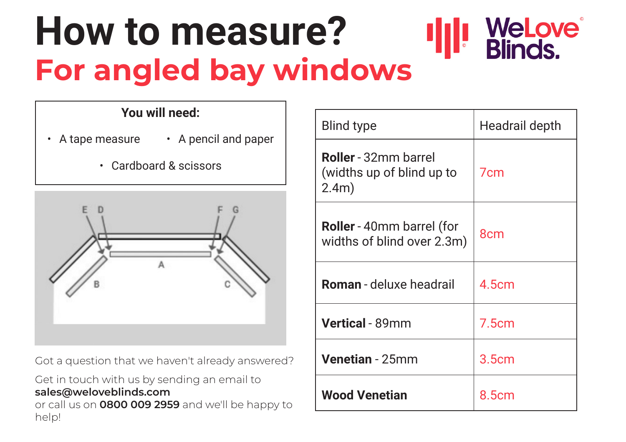# **How to measure? For angled bay windows**

## **You will need:**

- A tape measure A pencil and paper
	- Cardboard & scissors



Got a question that we haven't already answered?

#### Get in touch with us by sending an email to **sales@weloveblinds.com**

or call us on **0800 009 2959** and we'll be happy to help!

| Blind type                                                        | Headrail depth  |
|-------------------------------------------------------------------|-----------------|
| <b>Roller</b> - 32mm barrel<br>(widths up of blind up to<br>2.4m) | 7 <sub>cm</sub> |
| <b>Roller</b> - 40mm barrel (for<br>widths of blind over 2.3m)    | 8cm             |
| <b>Roman</b> - deluxe headrail                                    | 4.5cm           |
| <b>Vertical</b> - 89mm                                            | 7.5cm           |
| <b>Venetian</b> - 25mm                                            | 3.5cm           |
| <b>Wood Venetian</b>                                              | 8.5cm           |

WeLove® **Blinds.**